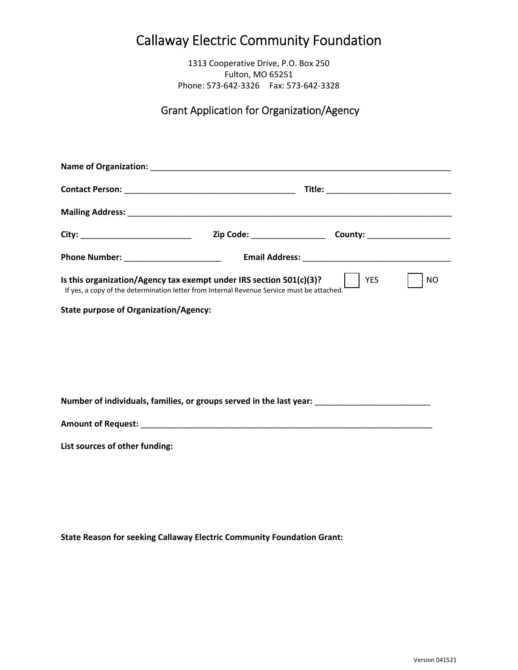## Callaway Electric Community Foundation

1313 Cooperative Drive, P.O. Box 250 Fulton, MO 65251 Phone: 573‐642‐3326 Fax: 573‐642‐3328

## Grant Application for Organization/Agency

| Is this organization/Agency tax exempt under IRS section 501(c)(3)?<br><b>YES</b><br><b>NO</b><br>If yes, a copy of the determination letter from Internal Revenue Service must be attached. |  |  |  |  |  |  |  |
|----------------------------------------------------------------------------------------------------------------------------------------------------------------------------------------------|--|--|--|--|--|--|--|
| <b>State purpose of Organization/Agency:</b>                                                                                                                                                 |  |  |  |  |  |  |  |
|                                                                                                                                                                                              |  |  |  |  |  |  |  |
|                                                                                                                                                                                              |  |  |  |  |  |  |  |
|                                                                                                                                                                                              |  |  |  |  |  |  |  |
| Number of individuals, families, or groups served in the last year: _______________________________                                                                                          |  |  |  |  |  |  |  |
|                                                                                                                                                                                              |  |  |  |  |  |  |  |

**List sources of other funding:**

**State Reason for seeking Callaway Electric Community Foundation Grant:**